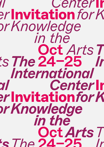*Center for Center* **Invitation** *Knowledge in the for Arts The* Oct ts The 24–25 *International Center for Center* **Invitation** *Knowledge in the for Arts The* Oct *The Arts* 24–25*Knowledge in the International Knowledge in the International International International* **Invitation Invitation**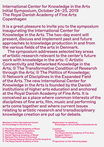International Center for Knowledge in the Arts Initial Symposium, October 24–25, 2019 The Royal Danish Academy of Fine Arts Copenhagen

It is a great pleasure to invite you to the symposium inaugurating the International Center for Knowledge in the Arts. The two-day event will present, discuss and implement past and future approaches to knowledge production in and from the various fields of the arts in Denmark.

The symposium addresses selected key areas of artistic research relevant to the center's future work with knowledge in the arts: ① Artistic Connectivity and Networked Knowledge in the Arts; ② The Transformative Condition of Research through the Arts; ③ The Politics of Knowledge; ④ Network of Disciplines in the Expanded Field of the Arts. The new International Center for Knowledge in the Arts is founded by the Danish institutions of higher arts education and anchored at the Royal Danish Academy of Fine Arts. It is conceived as a place where common interests of the disciplines of fine arts, film, music and performing arts come together and where current issues relating to artistic research and transdisciplinary knowledge creation are put up for debate.

Members of the International Center for Knowledge in the Arts are:

- The Royal Danish Academy of Music
- Rhythmic Music Conservatory
- The Royal Academy of Music
- Danish National Academy of Music
- National Film School of Denmark
- The Danish National School of Performing Arts
- The Royal Danish Academy of Arts

Registration is needed at: knowledge.in.the.arts@kunstakademiet.dk

Location: Festsalen The Royal Danish Academy of Fine Arts Kongens Nytorv 1 1050 Copenhagen

Programme on the following pages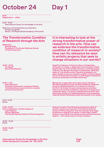# October 24 Day 1

 $9.00$ Registration – coffee

 $9.30 - 10.00$ *International Center for Knowledge in the Arts*

Welcome and Introduction by moderator: Kirsten Langkilde Rector, The Royal Danish Academy of Fine Arts

### *The Transformative Condition of Research through the Arts*

Moderator: Solveig Gade Professor at The Danish National School of Performing Arts.

10.05 – 10.35 Irit Rogoff *Becoming Research*

10.40 – 11.10

Adam Bencard *Complex processes for complex problems: Transdisciplinary research and co-curation across art and science*

It is interesting to look at the strong transformative power of research in the arts. How can we embrace the transformative condition of research in society? How can its relevance be seen in artistic projects that seek to change situations in our worlds?

Rogoff is Professor of Visual Culture at Goldsmiths, University of London, a department she founded in 2002. Rogoff was one of the artistic directors of the Norwegian triennial 'The Bergen Assembly' in September, 2016 and editor of *The Infrastructural Condition* published in its wake. Rogoff is also a co-founder, in 2017, of The European Forum for Advanced Practices. In 2019 Rogoff received an honorary doctorate from Aalto University.

Bencard is a researcher and curator at the The Novo Nordisk Foundation Center for Basic Metabolic Research and at the Medical Museion from where he acquired his Ph.D. He divides his work evenly between practical science and curating exhibitions, teaching and research on 'molecular being': a concept he developed around the idea that human beings are fundamentally part of an expansive, material network extending inside and outside of our bodies.

11.10 – 11.30 Break

11.30 – 12.00 KUV presentation / Artistic Research Inger Eilersen *Human Migration*  The Danish National School of Performing Arts Eilersen is head of the Directing programme, Head of Artistic research and teacher at the Danish National School of Performing Arts. She has directed sixty stage productions ranging from opera to radio plays, classic drama to new Danish and foreign drama and documentary theatre – from small scenes to major theatres.

12.00 – 12.30 Panel

12.30 – 13.30 Lunch

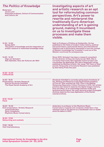### *The Politics of Knowledge*

Moderator: Jacob Lund Associate professor, School of Communication and Culture, AU

*The politics of knowledge and the integration of artistic research in networked knowledge today*

*New Alphabet, Haus der Kulturen der Welt*

Investigating aspects of art and artistic research as an apt tool for reformulating common perspectives. Art's power to rewrite and reinterpret the traditionally Euro-American understanding of art is gaining ground, making it incumbent on us to investigate these processes and make them visible.

Seth is Professor of Politics at Goldsmiths. He has published in the fields of modern Indian history, political and social theory, postcolonial theory and international relations and is particularly interested in how the concept of Western knowledge has 'travelled' in and out of the Western world and its consequences.

Since 2015, Schubert has been a research consultant for the director of Haus der Kulturen der Welt. She is currently head of the *New Alphabet School* project and coordinates the Bibliothek 100 Jahre Gegenwart series published by Matthes & Seitz. Her essay *'100 Years of Now' and the Temporality of Curatorial Research* was published by Sternberg Press this year.

14.30 – 14.45 Coffee Break

13.30 – 14.00 Sanjay Seth

14.05 – 14.35

Olga von Schubert

14.45 – 15.15 Presentation / Artistic Research Katrine Dirckinck-Holmfeld The Royal Danish Academy of Art

Dirckinck-Holmfeld is currently acting head of Institute of Art, Writing and Research at the Royal Danish Academy of Fine Art. She received her PhD *Time in the Making: Rehearsing Reparative Critical Practices* in 2015. Her artistic practice and research explores the digital image's memory, time and affect, as an assemblage between bodily and technical performance. Her post-doctoral project *Entangled Archives* explores the mass digitisation of the Danish colonial archives.

15.15 – 15.45 Panel

16.00 – 16.30 KUV presentation / Artistic Research Jacob Anderskov *Sonic Complexion* Rhythmic Music Conservatory

Anderskov is professor at the Rhythmic Music Conservatory. A pianist and composer, Anderskov e has released close to 20 albums as a bandleader and co-leader since his debut in 2001.

16.30 – 17.00 Networking and cocktails

17.00 – 18.00 Visit Charlottenborg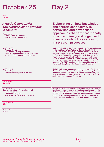## October 25 Day 2

9.30 **Coffee** 

### *Artistic Connectivity and Networked Knowledge in the Arts*

Moderator: Cecilie Ullerup Schmidt PhD and performance artist.

10.00 – 10.30 Andrea Braidt *On transdisciplinary disciplines. Knowledge connections in media studies, gender studies, and artistic research*

10.35 – 11.05 Julian Klein *Network of Disciplines in the arts*

Elaborating on how knowledge and artistic connectivity is networked and how artistic approaches that are traditionally interdisciplinary and organised in network structures show up in research processes.

Andrea B. Braidt is the President of ELIA European League of the Institutes of the Arts and Senior Scientist in Film and Media at the University of Vienna..From 2011-2019 she was Vicerector for Art and Research at the Academy of Fine Arts Vienna. As a researcher with degrees in film studies and comparativeliterature, her research focus and publication activity lie on narratology, genre theory and gender/queer studies as well as studies on artistic research. For ELIA, she has headed the publication of the Florence Principles on the Doctorates in the Arts.

Klein is a director, composer, Head of Institute for Artistic Research Berlin, Adjunct Professor for Directing at University of the Arts Berlin, President of the Society for Artistic Research in Germany (GKFD) and the director of JAR, Journal for Artistic Research.

11.05 – 11.20 Coffee Break

11.20 – 11.50 KUV presentation / Artistic Research Geir Draugsvoll *Collaborative Space*  The Royal Danish Academy of Music

Draugsvoll is a professor (accordion) at The Royal Danish Academy of Music, where he also teaches chamber music. He has worked extensively as a soloist, chamber musician and teacher of master classes. He has recorded a number of albums and is internationally acclaimed as one of the most important musicians on his instrument, the bayan.

11.55 – 12.30 Q&A

12.30 – 13.30 Lunch